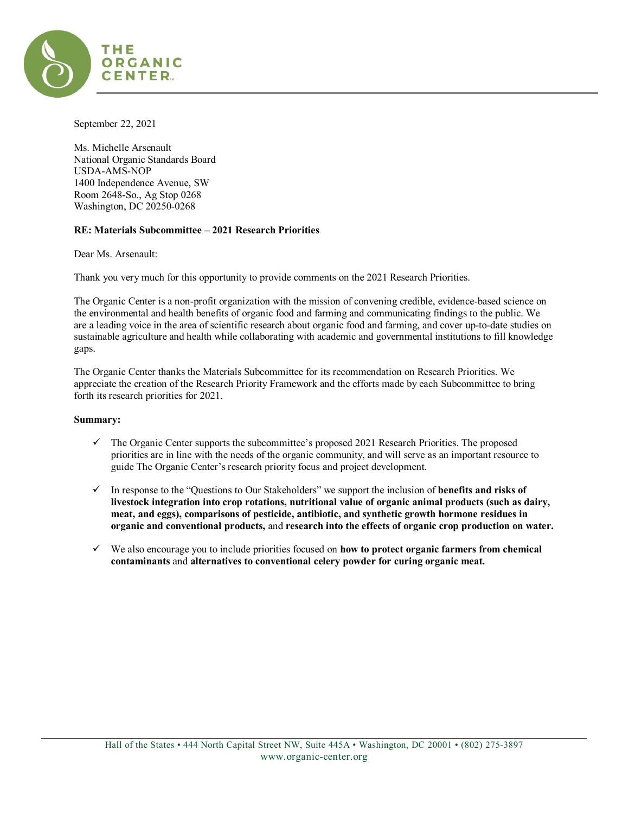

September 22, 2021

Ms. Michelle Arsenault National Organic Standards Board USDA-AMS-NOP 1400 Independence Avenue, SW Room 2648-So., Ag Stop 0268 Washington, DC 20250-0268

# **RE: Materials Subcommittee – 2021 Research Priorities**

Dear Ms. Arsenault:

Thank you very much for this opportunity to provide comments on the 2021 Research Priorities.

The Organic Center is a non-profit organization with the mission of convening credible, evidence-based science on the environmental and health benefits of organic food and farming and communicating findings to the public. We are a leading voice in the area of scientific research about organic food and farming, and cover up-to-date studies on sustainable agriculture and health while collaborating with academic and governmental institutions to fill knowledge gaps.

The Organic Center thanks the Materials Subcommittee for its recommendation on Research Priorities. We appreciate the creation of the Research Priority Framework and the efforts made by each Subcommittee to bring forth its research priorities for 2021.

#### **Summary:**

- $\checkmark$  The Organic Center supports the subcommittee's proposed 2021 Research Priorities. The proposed priorities are in line with the needs of the organic community, and will serve as an important resource to guide The Organic Center's research priority focus and project development.
- In response to the "Questions to Our Stakeholders" we support the inclusion of **benefits and risks of livestock integration into crop rotations, nutritional value of organic animal products (such as dairy, meat, and eggs), comparisons of pesticide, antibiotic, and synthetic growth hormone residues in organic and conventional products,** and **research into the effects of organic crop production on water.**
- We also encourage you to include priorities focused on **how to protect organic farmers from chemical contaminants** and **alternatives to conventional celery powder for curing organic meat.**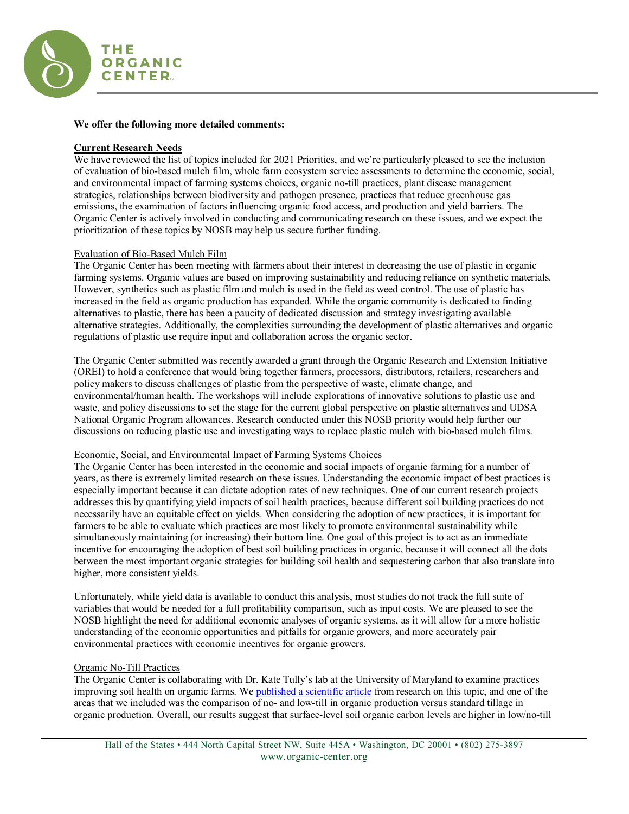

### **We offer the following more detailed comments:**

# **Current Research Needs**

We have reviewed the list of topics included for 2021 Priorities, and we're particularly pleased to see the inclusion of evaluation of bio-based mulch film, whole farm ecosystem service assessments to determine the economic, social, and environmental impact of farming systems choices, organic no-till practices, plant disease management strategies, relationships between biodiversity and pathogen presence, practices that reduce greenhouse gas emissions, the examination of factors influencing organic food access, and production and yield barriers. The Organic Center is actively involved in conducting and communicating research on these issues, and we expect the prioritization of these topics by NOSB may help us secure further funding.

### Evaluation of Bio-Based Mulch Film

The Organic Center has been meeting with farmers about their interest in decreasing the use of plastic in organic farming systems. Organic values are based on improving sustainability and reducing reliance on synthetic materials. However, synthetics such as plastic film and mulch is used in the field as weed control. The use of plastic has increased in the field as organic production has expanded. While the organic community is dedicated to finding alternatives to plastic, there has been a paucity of dedicated discussion and strategy investigating available alternative strategies. Additionally, the complexities surrounding the development of plastic alternatives and organic regulations of plastic use require input and collaboration across the organic sector.

The Organic Center submitted was recently awarded a grant through the Organic Research and Extension Initiative (OREI) to hold a conference that would bring together farmers, processors, distributors, retailers, researchers and policy makers to discuss challenges of plastic from the perspective of waste, climate change, and environmental/human health. The workshops will include explorations of innovative solutions to plastic use and waste, and policy discussions to set the stage for the current global perspective on plastic alternatives and UDSA National Organic Program allowances. Research conducted under this NOSB priority would help further our discussions on reducing plastic use and investigating ways to replace plastic mulch with bio-based mulch films.

#### Economic, Social, and Environmental Impact of Farming Systems Choices

The Organic Center has been interested in the economic and social impacts of organic farming for a number of years, as there is extremely limited research on these issues. Understanding the economic impact of best practices is especially important because it can dictate adoption rates of new techniques. One of our current research projects addresses this by quantifying yield impacts of soil health practices, because different soil building practices do not necessarily have an equitable effect on yields. When considering the adoption of new practices, it is important for farmers to be able to evaluate which practices are most likely to promote environmental sustainability while simultaneously maintaining (or increasing) their bottom line. One goal of this project is to act as an immediate incentive for encouraging the adoption of best soil building practices in organic, because it will connect all the dots between the most important organic strategies for building soil health and sequestering carbon that also translate into higher, more consistent yields.

Unfortunately, while yield data is available to conduct this analysis, most studies do not track the full suite of variables that would be needed for a full profitability comparison, such as input costs. We are pleased to see the NOSB highlight the need for additional economic analyses of organic systems, as it will allow for a more holistic understanding of the economic opportunities and pitfalls for organic growers, and more accurately pair environmental practices with economic incentives for organic growers.

# Organic No-Till Practices

The Organic Center is collaborating with Dr. Kate Tully's lab at the University of Maryland to examine practices improving soil health on organic farms. We [published a scientific article](https://link.springer.com/article/10.1007/s13165-019-00275-1) from research on this topic, and one of the areas that we included was the comparison of no- and low-till in organic production versus standard tillage in organic production. Overall, our results suggest that surface-level soil organic carbon levels are higher in low/no-till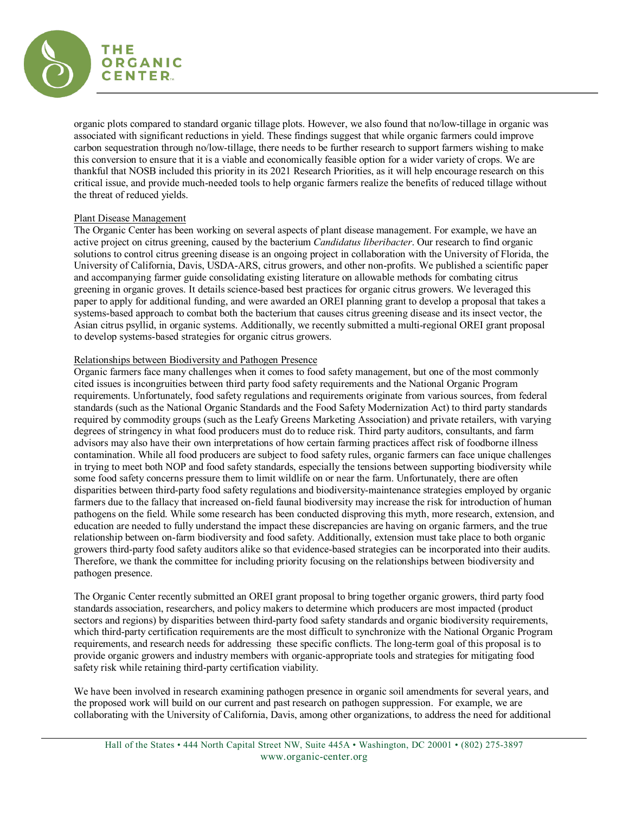

organic plots compared to standard organic tillage plots. However, we also found that no/low-tillage in organic was associated with significant reductions in yield. These findings suggest that while organic farmers could improve carbon sequestration through no/low-tillage, there needs to be further research to support farmers wishing to make this conversion to ensure that it is a viable and economically feasible option for a wider variety of crops. We are thankful that NOSB included this priority in its 2021 Research Priorities, as it will help encourage research on this critical issue, and provide much-needed tools to help organic farmers realize the benefits of reduced tillage without the threat of reduced yields.

### Plant Disease Management

The Organic Center has been working on several aspects of plant disease management. For example, we have an active project on citrus greening, caused by the bacterium *Candidatus liberibacter*. Our research to find organic solutions to control citrus greening disease is an ongoing project in collaboration with the University of Florida, the University of California, Davis, USDA-ARS, citrus growers, and other non-profits. We published a scientific paper and accompanying farmer guide consolidating existing literature on allowable methods for combating citrus greening in organic groves. It details science-based best practices for organic citrus growers. We leveraged this paper to apply for additional funding, and were awarded an OREI planning grant to develop a proposal that takes a systems-based approach to combat both the bacterium that causes citrus greening disease and its insect vector, the Asian citrus psyllid, in organic systems. Additionally, we recently submitted a multi-regional OREI grant proposal to develop systems-based strategies for organic citrus growers.

### Relationships between Biodiversity and Pathogen Presence

Organic farmers face many challenges when it comes to food safety management, but one of the most commonly cited issues is incongruities between third party food safety requirements and the National Organic Program requirements. Unfortunately, food safety regulations and requirements originate from various sources, from federal standards (such as the National Organic Standards and the Food Safety Modernization Act) to third party standards required by commodity groups (such as the Leafy Greens Marketing Association) and private retailers, with varying degrees of stringency in what food producers must do to reduce risk. Third party auditors, consultants, and farm advisors may also have their own interpretations of how certain farming practices affect risk of foodborne illness contamination. While all food producers are subject to food safety rules, organic farmers can face unique challenges in trying to meet both NOP and food safety standards, especially the tensions between supporting biodiversity while some food safety concerns pressure them to limit wildlife on or near the farm. Unfortunately, there are often disparities between third-party food safety regulations and biodiversity-maintenance strategies employed by organic farmers due to the fallacy that increased on-field faunal biodiversity may increase the risk for introduction of human pathogens on the field. While some research has been conducted disproving this myth, more research, extension, and education are needed to fully understand the impact these discrepancies are having on organic farmers, and the true relationship between on-farm biodiversity and food safety. Additionally, extension must take place to both organic growers third-party food safety auditors alike so that evidence-based strategies can be incorporated into their audits. Therefore, we thank the committee for including priority focusing on the relationships between biodiversity and pathogen presence.

The Organic Center recently submitted an OREI grant proposal to bring together organic growers, third party food standards association, researchers, and policy makers to determine which producers are most impacted (product sectors and regions) by disparities between third-party food safety standards and organic biodiversity requirements, which third-party certification requirements are the most difficult to synchronize with the National Organic Program requirements, and research needs for addressing these specific conflicts. The long-term goal of this proposal is to provide organic growers and industry members with organic-appropriate tools and strategies for mitigating food safety risk while retaining third-party certification viability.

We have been involved in research examining pathogen presence in organic soil amendments for several years, and the proposed work will build on our current and past research on pathogen suppression. For example, we are collaborating with the University of California, Davis, among other organizations, to address the need for additional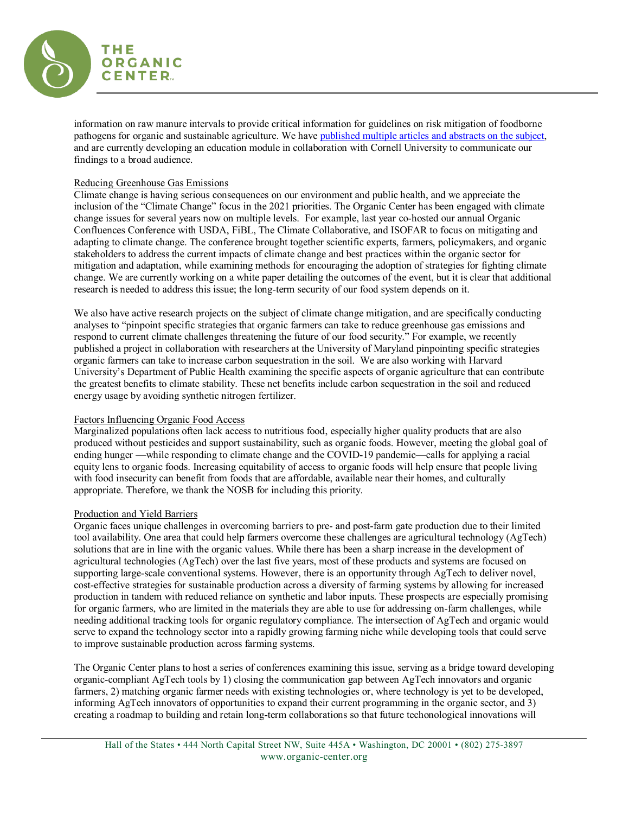

information on raw manure intervals to provide critical information for guidelines on risk mitigation of foodborne pathogens for organic and sustainable agriculture. We hav[e published multiple articles and abstracts on the subject,](https://www.organic-center.org/multi-regional-risk-analysis-of-farm-manure-use-balancing-soil-health-and-food-safety-for-organic-fresh-produce-production-3/) and are currently developing an education module in collaboration with Cornell University to communicate our findings to a broad audience.

# Reducing Greenhouse Gas Emissions

Climate change is having serious consequences on our environment and public health, and we appreciate the inclusion of the "Climate Change" focus in the 2021 priorities. The Organic Center has been engaged with climate change issues for several years now on multiple levels. For example, last year co-hosted our annual Organic Confluences Conference with USDA, FiBL, The Climate Collaborative, and ISOFAR to focus on mitigating and adapting to climate change. The conference brought together scientific experts, farmers, policymakers, and organic stakeholders to address the current impacts of climate change and best practices within the organic sector for mitigation and adaptation, while examining methods for encouraging the adoption of strategies for fighting climate change. We are currently working on a white paper detailing the outcomes of the event, but it is clear that additional research is needed to address this issue; the long-term security of our food system depends on it.

We also have active research projects on the subject of climate change mitigation, and are specifically conducting analyses to "pinpoint specific strategies that organic farmers can take to reduce greenhouse gas emissions and respond to current climate challenges threatening the future of our food security." For example, we recently published a project in collaboration with researchers at the University of Maryland pinpointing specific strategies organic farmers can take to increase carbon sequestration in the soil. We are also working with Harvard University's Department of Public Health examining the specific aspects of organic agriculture that can contribute the greatest benefits to climate stability. These net benefits include carbon sequestration in the soil and reduced energy usage by avoiding synthetic nitrogen fertilizer.

# Factors Influencing Organic Food Access

Marginalized populations often lack access to nutritious food, especially higher quality products that are also produced without pesticides and support sustainability, such as organic foods. However, meeting the global goal of ending hunger —while responding to climate change and the COVID-19 pandemic—calls for applying a racial equity lens to organic foods. Increasing equitability of access to organic foods will help ensure that people living with food insecurity can benefit from foods that are affordable, available near their homes, and culturally appropriate. Therefore, we thank the NOSB for including this priority.

# Production and Yield Barriers

Organic faces unique challenges in overcoming barriers to pre- and post-farm gate production due to their limited tool availability. One area that could help farmers overcome these challenges are agricultural technology (AgTech) solutions that are in line with the organic values. While there has been a sharp increase in the development of agricultural technologies (AgTech) over the last five years, most of these products and systems are focused on supporting large-scale conventional systems. However, there is an opportunity through AgTech to deliver novel, cost-effective strategies for sustainable production across a diversity of farming systems by allowing for increased production in tandem with reduced reliance on synthetic and labor inputs. These prospects are especially promising for organic farmers, who are limited in the materials they are able to use for addressing on-farm challenges, while needing additional tracking tools for organic regulatory compliance. The intersection of AgTech and organic would serve to expand the technology sector into a rapidly growing farming niche while developing tools that could serve to improve sustainable production across farming systems.

The Organic Center plans to host a series of conferences examining this issue, serving as a bridge toward developing organic-compliant AgTech tools by 1) closing the communication gap between AgTech innovators and organic farmers, 2) matching organic farmer needs with existing technologies or, where technology is yet to be developed, informing AgTech innovators of opportunities to expand their current programming in the organic sector, and 3) creating a roadmap to building and retain long-term collaborations so that future techonological innovations will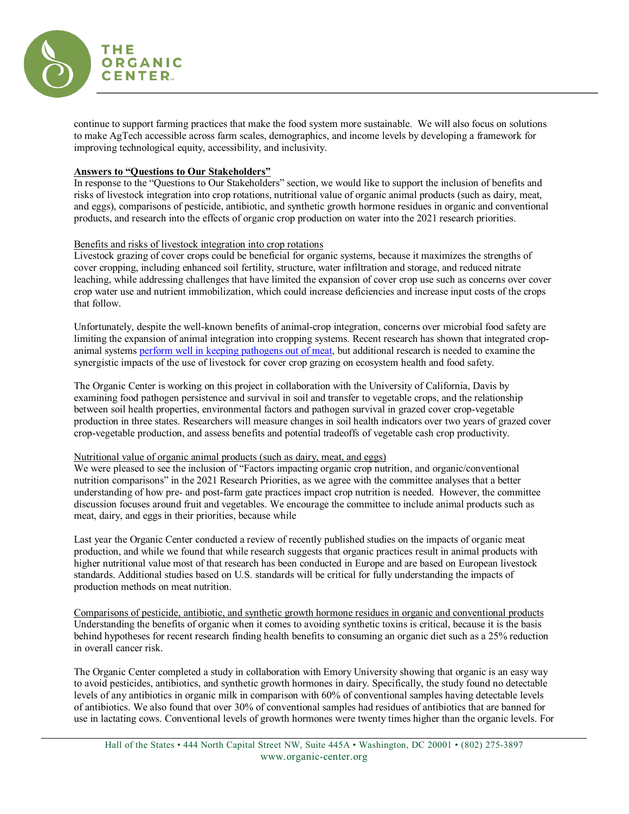

continue to support farming practices that make the food system more sustainable. We will also focus on solutions to make AgTech accessible across farm scales, demographics, and income levels by developing a framework for improving technological equity, accessibility, and inclusivity.

### **Answers to "Questions to Our Stakeholders"**

In response to the "Questions to Our Stakeholders" section, we would like to support the inclusion of benefits and risks of livestock integration into crop rotations, nutritional value of organic animal products (such as dairy, meat, and eggs), comparisons of pesticide, antibiotic, and synthetic growth hormone residues in organic and conventional products, and research into the effects of organic crop production on water into the 2021 research priorities.

### Benefits and risks of livestock integration into crop rotations

Livestock grazing of cover crops could be beneficial for organic systems, because it maximizes the strengths of cover cropping, including enhanced soil fertility, structure, water infiltration and storage, and reduced nitrate leaching, while addressing challenges that have limited the expansion of cover crop use such as concerns over cover crop water use and nutrient immobilization, which could increase deficiencies and increase input costs of the crops that follow.

Unfortunately, despite the well-known benefits of animal-crop integration, concerns over microbial food safety are limiting the expansion of animal integration into cropping systems. Recent research has shown that integrated cropanimal systems [perform well in keeping pathogens out of meat,](https://bits.zynbit.com/link?guid=40e1cd52-c5bc-4e18-81db-56ff026bcbe8&url=https://phys.org/news/2019-12-crop-livestock-production-conform-food.html) but additional research is needed to examine the synergistic impacts of the use of livestock for cover crop grazing on ecosystem health and food safety.

The Organic Center is working on this project in collaboration with the University of California, Davis by examining food pathogen persistence and survival in soil and transfer to vegetable crops, and the relationship between soil health properties, environmental factors and pathogen survival in grazed cover crop-vegetable production in three states. Researchers will measure changes in soil health indicators over two years of grazed cover crop-vegetable production, and assess benefits and potential tradeoffs of vegetable cash crop productivity.

#### Nutritional value of organic animal products (such as dairy, meat, and eggs)

We were pleased to see the inclusion of "Factors impacting organic crop nutrition, and organic/conventional nutrition comparisons" in the 2021 Research Priorities, as we agree with the committee analyses that a better understanding of how pre- and post-farm gate practices impact crop nutrition is needed. However, the committee discussion focuses around fruit and vegetables. We encourage the committee to include animal products such as meat, dairy, and eggs in their priorities, because while

Last year the Organic Center conducted a review of recently published studies on the impacts of organic meat production, and while we found that while research suggests that organic practices result in animal products with higher nutritional value most of that research has been conducted in Europe and are based on European livestock standards. Additional studies based on U.S. standards will be critical for fully understanding the impacts of production methods on meat nutrition.

Comparisons of pesticide, antibiotic, and synthetic growth hormone residues in organic and conventional products Understanding the benefits of organic when it comes to avoiding synthetic toxins is critical, because it is the basis behind hypotheses for recent research finding health benefits to consuming an organic diet such as a 25% reduction in overall cancer risk.

The Organic Center completed a study in collaboration with Emory University showing that organic is an easy way to avoid pesticides, antibiotics, and synthetic growth hormones in dairy. Specifically, the study found no detectable levels of any antibiotics in organic milk in comparison with 60% of conventional samples having detectable levels of antibiotics. We also found that over 30% of conventional samples had residues of antibiotics that are banned for use in lactating cows. Conventional levels of growth hormones were twenty times higher than the organic levels. For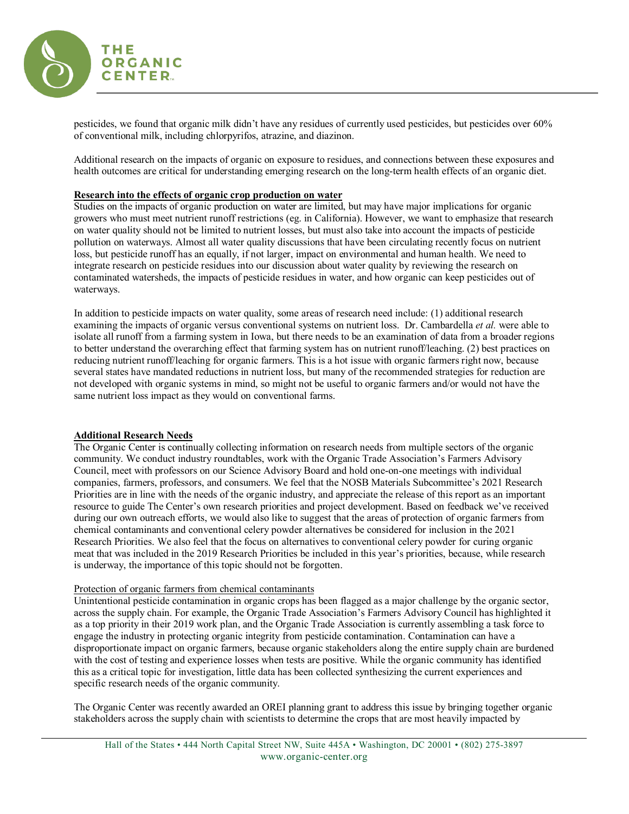

pesticides, we found that organic milk didn't have any residues of currently used pesticides, but pesticides over 60% of conventional milk, including chlorpyrifos, atrazine, and diazinon.

Additional research on the impacts of organic on exposure to residues, and connections between these exposures and health outcomes are critical for understanding emerging research on the long-term health effects of an organic diet.

# **Research into the effects of organic crop production on water**

Studies on the impacts of organic production on water are limited, but may have major implications for organic growers who must meet nutrient runoff restrictions (eg. in California). However, we want to emphasize that research on water quality should not be limited to nutrient losses, but must also take into account the impacts of pesticide pollution on waterways. Almost all water quality discussions that have been circulating recently focus on nutrient loss, but pesticide runoff has an equally, if not larger, impact on environmental and human health. We need to integrate research on pesticide residues into our discussion about water quality by reviewing the research on contaminated watersheds, the impacts of pesticide residues in water, and how organic can keep pesticides out of waterways.

In addition to pesticide impacts on water quality, some areas of research need include: (1) additional research examining the impacts of organic versus conventional systems on nutrient loss. Dr. Cambardella *et al.* were able to isolate all runoff from a farming system in Iowa, but there needs to be an examination of data from a broader regions to better understand the overarching effect that farming system has on nutrient runoff/leaching. (2) best practices on reducing nutrient runoff/leaching for organic farmers. This is a hot issue with organic farmers right now, because several states have mandated reductions in nutrient loss, but many of the recommended strategies for reduction are not developed with organic systems in mind, so might not be useful to organic farmers and/or would not have the same nutrient loss impact as they would on conventional farms.

# **Additional Research Needs**

The Organic Center is continually collecting information on research needs from multiple sectors of the organic community. We conduct industry roundtables, work with the Organic Trade Association's Farmers Advisory Council, meet with professors on our Science Advisory Board and hold one-on-one meetings with individual companies, farmers, professors, and consumers. We feel that the NOSB Materials Subcommittee's 2021 Research Priorities are in line with the needs of the organic industry, and appreciate the release of this report as an important resource to guide The Center's own research priorities and project development. Based on feedback we've received during our own outreach efforts, we would also like to suggest that the areas of protection of organic farmers from chemical contaminants and conventional celery powder alternatives be considered for inclusion in the 2021 Research Priorities. We also feel that the focus on alternatives to conventional celery powder for curing organic meat that was included in the 2019 Research Priorities be included in this year's priorities, because, while research is underway, the importance of this topic should not be forgotten.

### Protection of organic farmers from chemical contaminants

Unintentional pesticide contamination in organic crops has been flagged as a major challenge by the organic sector, across the supply chain. For example, the Organic Trade Association's Farmers Advisory Council has highlighted it as a top priority in their 2019 work plan, and the Organic Trade Association is currently assembling a task force to engage the industry in protecting organic integrity from pesticide contamination. Contamination can have a disproportionate impact on organic farmers, because organic stakeholders along the entire supply chain are burdened with the cost of testing and experience losses when tests are positive. While the organic community has identified this as a critical topic for investigation, little data has been collected synthesizing the current experiences and specific research needs of the organic community.

The Organic Center was recently awarded an OREI planning grant to address this issue by bringing together organic stakeholders across the supply chain with scientists to determine the crops that are most heavily impacted by